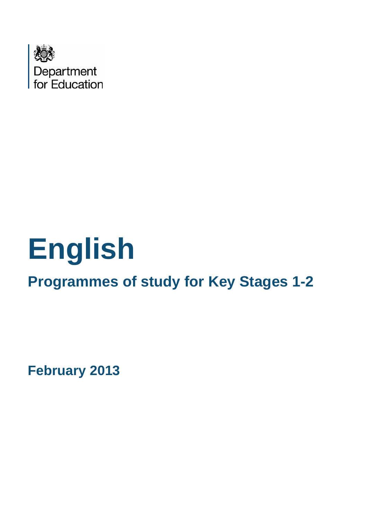

# **English Programmes of study for Key Stages 1-2**

**February 2013**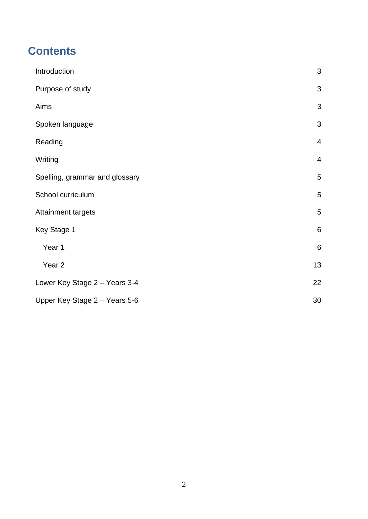# **Contents**

| Introduction                   | 3               |
|--------------------------------|-----------------|
| Purpose of study               | $\mathfrak{S}$  |
| Aims                           | $\mathfrak{S}$  |
| Spoken language                | $\mathfrak{S}$  |
| Reading                        | $\overline{4}$  |
| Writing                        | $\overline{4}$  |
| Spelling, grammar and glossary | 5               |
| School curriculum              | 5               |
| Attainment targets             | $\overline{5}$  |
| Key Stage 1                    | $6\phantom{1}6$ |
| Year 1                         | $\,6$           |
| Year <sub>2</sub>              | 13              |
| Lower Key Stage 2 - Years 3-4  | 22              |
| Upper Key Stage 2 - Years 5-6  | 30              |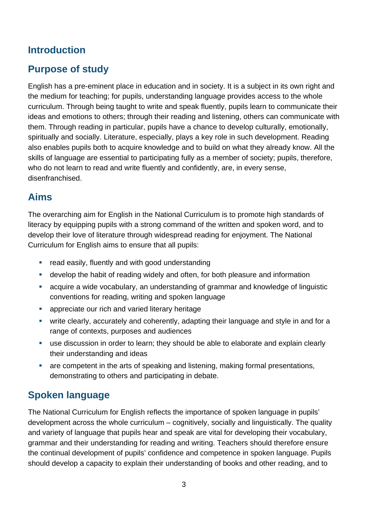#### <span id="page-2-0"></span>**Introduction**

### <span id="page-2-1"></span>**Purpose of study**

English has a pre-eminent place in education and in society. It is a subject in its own right and the medium for teaching; for pupils, understanding language provides access to the whole curriculum. Through being taught to write and speak fluently, pupils learn to communicate their ideas and emotions to others; through their reading and listening, others can communicate with them. Through reading in particular, pupils have a chance to develop culturally, emotionally, spiritually and socially. Literature, especially, plays a key role in such development. Reading also enables pupils both to acquire knowledge and to build on what they already know. All the skills of language are essential to participating fully as a member of society; pupils, therefore, who do not learn to read and write fluently and confidently, are, in every sense, disenfranchised.

#### <span id="page-2-2"></span>**Aims**

The overarching aim for English in the National Curriculum is to promote high standards of literacy by equipping pupils with a strong command of the written and spoken word, and to develop their love of literature through widespread reading for enjoyment. The National Curriculum for English aims to ensure that all pupils:

- **•** read easily, fluently and with good understanding
- develop the habit of reading widely and often, for both pleasure and information
- acquire a wide vocabulary, an understanding of grammar and knowledge of linguistic conventions for reading, writing and spoken language
- **EXEDENT** appreciate our rich and varied literary heritage
- write clearly, accurately and coherently, adapting their language and style in and for a range of contexts, purposes and audiences
- use discussion in order to learn; they should be able to elaborate and explain clearly their understanding and ideas
- are competent in the arts of speaking and listening, making formal presentations, demonstrating to others and participating in debate.

### <span id="page-2-3"></span>**Spoken language**

The National Curriculum for English reflects the importance of spoken language in pupils' development across the whole curriculum – cognitively, socially and linguistically. The quality and variety of language that pupils hear and speak are vital for developing their vocabulary, grammar and their understanding for reading and writing. Teachers should therefore ensure the continual development of pupils' confidence and competence in spoken language. Pupils should develop a capacity to explain their understanding of books and other reading, and to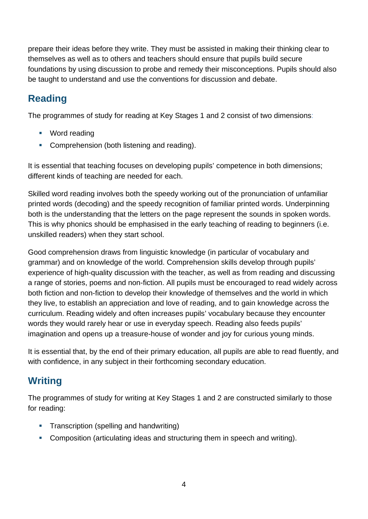prepare their ideas before they write. They must be assisted in making their thinking clear to themselves as well as to others and teachers should ensure that pupils build secure foundations by using discussion to probe and remedy their misconceptions. Pupils should also be taught to understand and use the conventions for discussion and debate.

## <span id="page-3-0"></span>**Reading**

The programmes of study for reading at Key Stages 1 and 2 consist of two dimensions:

- **Word reading**
- Comprehension (both listening and reading).

It is essential that teaching focuses on developing pupils' competence in both dimensions; different kinds of teaching are needed for each.

Skilled word reading involves both the speedy working out of the pronunciation of unfamiliar printed words (decoding) and the speedy recognition of familiar printed words. Underpinning both is the understanding that the letters on the page represent the sounds in spoken words. This is why phonics should be emphasised in the early teaching of reading to beginners (i.e. unskilled readers) when they start school.

Good comprehension draws from linguistic knowledge (in particular of vocabulary and grammar) and on knowledge of the world. Comprehension skills develop through pupils' experience of high-quality discussion with the teacher, as well as from reading and discussing a range of stories, poems and non-fiction. All pupils must be encouraged to read widely across both fiction and non-fiction to develop their knowledge of themselves and the world in which they live, to establish an appreciation and love of reading, and to gain knowledge across the curriculum. Reading widely and often increases pupils' vocabulary because they encounter words they would rarely hear or use in everyday speech. Reading also feeds pupils' imagination and opens up a treasure-house of wonder and joy for curious young minds.

It is essential that, by the end of their primary education, all pupils are able to read fluently, and with confidence, in any subject in their forthcoming secondary education.

## <span id="page-3-1"></span>**Writing**

The programmes of study for writing at Key Stages 1 and 2 are constructed similarly to those for reading:

- **Transcription (spelling and handwriting)**
- Composition (articulating ideas and structuring them in speech and writing).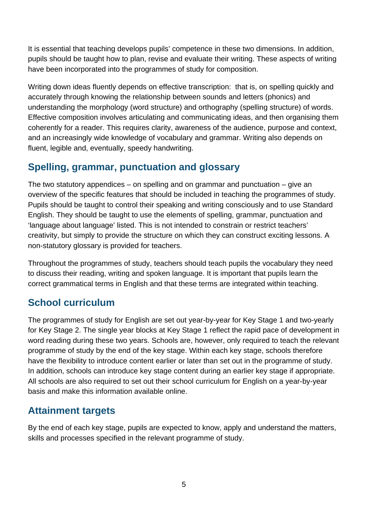It is essential that teaching develops pupils' competence in these two dimensions. In addition, pupils should be taught how to plan, revise and evaluate their writing. These aspects of writing have been incorporated into the programmes of study for composition.

Writing down ideas fluently depends on effective transcription: that is, on spelling quickly and accurately through knowing the relationship between sounds and letters (phonics) and understanding the morphology (word structure) and orthography (spelling structure) of words. Effective composition involves articulating and communicating ideas, and then organising them coherently for a reader. This requires clarity, awareness of the audience, purpose and context, and an increasingly wide knowledge of vocabulary and grammar. Writing also depends on fluent, legible and, eventually, speedy handwriting.

#### <span id="page-4-0"></span>**Spelling, grammar, punctuation and glossary**

The two statutory appendices – on spelling and on grammar and punctuation – give an overview of the specific features that should be included in teaching the programmes of study. Pupils should be taught to control their speaking and writing consciously and to use Standard English. They should be taught to use the elements of spelling, grammar, punctuation and 'language about language' listed. This is not intended to constrain or restrict teachers' creativity, but simply to provide the structure on which they can construct exciting lessons. A non-statutory glossary is provided for teachers.

Throughout the programmes of study, teachers should teach pupils the vocabulary they need to discuss their reading, writing and spoken language. It is important that pupils learn the correct grammatical terms in English and that these terms are integrated within teaching.

### <span id="page-4-1"></span>**School curriculum**

The programmes of study for English are set out year-by-year for Key Stage 1 and two-yearly for Key Stage 2. The single year blocks at Key Stage 1 reflect the rapid pace of development in word reading during these two years. Schools are, however, only required to teach the relevant programme of study by the end of the key stage. Within each key stage, schools therefore have the flexibility to introduce content earlier or later than set out in the programme of study. In addition, schools can introduce key stage content during an earlier key stage if appropriate. All schools are also required to set out their school curriculum for English on a year-by-year basis and make this information available online.

#### <span id="page-4-2"></span>**Attainment targets**

By the end of each key stage, pupils are expected to know, apply and understand the matters, skills and processes specified in the relevant programme of study.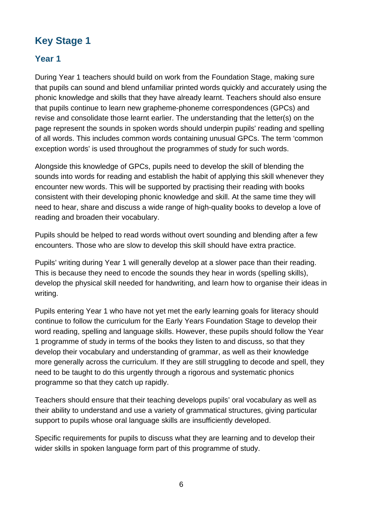## <span id="page-5-0"></span>**Key Stage 1**

#### <span id="page-5-1"></span>**Year 1**

During Year 1 teachers should build on work from the Foundation Stage, making sure that pupils can sound and blend unfamiliar printed words quickly and accurately using the phonic knowledge and skills that they have already learnt. Teachers should also ensure that pupils continue to learn new grapheme-phoneme correspondences (GPCs) and revise and consolidate those learnt earlier. The understanding that the letter(s) on the page represent the sounds in spoken words should underpin pupils' reading and spelling of all words. This includes common words containing unusual GPCs. The term 'common exception words' is used throughout the programmes of study for such words.

Alongside this knowledge of GPCs, pupils need to develop the skill of blending the sounds into words for reading and establish the habit of applying this skill whenever they encounter new words. This will be supported by practising their reading with books consistent with their developing phonic knowledge and skill. At the same time they will need to hear, share and discuss a wide range of high-quality books to develop a love of reading and broaden their vocabulary.

Pupils should be helped to read words without overt sounding and blending after a few encounters. Those who are slow to develop this skill should have extra practice.

Pupils' writing during Year 1 will generally develop at a slower pace than their reading. This is because they need to encode the sounds they hear in words (spelling skills), develop the physical skill needed for handwriting, and learn how to organise their ideas in writing.

Pupils entering Year 1 who have not yet met the early learning goals for literacy should continue to follow the curriculum for the Early Years Foundation Stage to develop their word reading, spelling and language skills. However, these pupils should follow the Year 1 programme of study in terms of the books they listen to and discuss, so that they develop their vocabulary and understanding of grammar, as well as their knowledge more generally across the curriculum. If they are still struggling to decode and spell, they need to be taught to do this urgently through a rigorous and systematic phonics programme so that they catch up rapidly.

Teachers should ensure that their teaching develops pupils' oral vocabulary as well as their ability to understand and use a variety of grammatical structures, giving particular support to pupils whose oral language skills are insufficiently developed.

Specific requirements for pupils to discuss what they are learning and to develop their wider skills in spoken language form part of this programme of study.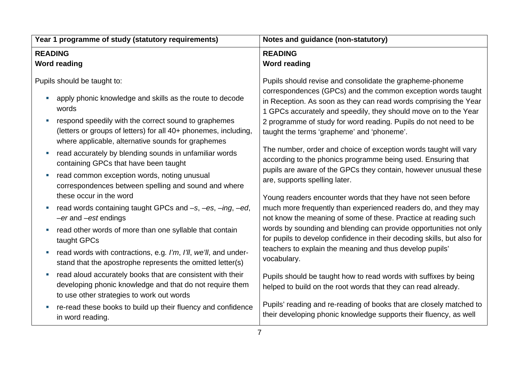| Year 1 programme of study (statutory requirements)                                                                                                                                                                                                                                            | Notes and guidance (non-statutory)                                                                                                                                                                                                                                                                                                                                                |
|-----------------------------------------------------------------------------------------------------------------------------------------------------------------------------------------------------------------------------------------------------------------------------------------------|-----------------------------------------------------------------------------------------------------------------------------------------------------------------------------------------------------------------------------------------------------------------------------------------------------------------------------------------------------------------------------------|
| <b>READING</b>                                                                                                                                                                                                                                                                                | <b>READING</b>                                                                                                                                                                                                                                                                                                                                                                    |
| <b>Word reading</b>                                                                                                                                                                                                                                                                           | <b>Word reading</b>                                                                                                                                                                                                                                                                                                                                                               |
| Pupils should be taught to:<br>apply phonic knowledge and skills as the route to decode<br>words<br>respond speedily with the correct sound to graphemes<br><b>C</b><br>(letters or groups of letters) for all 40+ phonemes, including,<br>where applicable, alternative sounds for graphemes | Pupils should revise and consolidate the grapheme-phoneme<br>correspondences (GPCs) and the common exception words taught<br>in Reception. As soon as they can read words comprising the Year<br>1 GPCs accurately and speedily, they should move on to the Year<br>2 programme of study for word reading. Pupils do not need to be<br>taught the terms 'grapheme' and 'phoneme'. |
| read accurately by blending sounds in unfamiliar words<br>containing GPCs that have been taught<br>read common exception words, noting unusual<br><b>I</b><br>correspondences between spelling and sound and where                                                                            | The number, order and choice of exception words taught will vary<br>according to the phonics programme being used. Ensuring that<br>pupils are aware of the GPCs they contain, however unusual these<br>are, supports spelling later.                                                                                                                                             |
| these occur in the word<br>read words containing taught GPCs and -s, -es, -ing, -ed,<br>$-er$ and $-est$ endings<br>read other words of more than one syllable that contain<br>taught GPCs                                                                                                    | Young readers encounter words that they have not seen before<br>much more frequently than experienced readers do, and they may<br>not know the meaning of some of these. Practice at reading such<br>words by sounding and blending can provide opportunities not only<br>for pupils to develop confidence in their decoding skills, but also for                                 |
| read words with contractions, e.g. I'm, I'll, we'll, and under-<br>stand that the apostrophe represents the omitted letter(s)                                                                                                                                                                 | teachers to explain the meaning and thus develop pupils'<br>vocabulary.                                                                                                                                                                                                                                                                                                           |
| read aloud accurately books that are consistent with their<br>$\mathcal{L}_{\mathcal{A}}$<br>developing phonic knowledge and that do not require them<br>to use other strategies to work out words                                                                                            | Pupils should be taught how to read words with suffixes by being<br>helped to build on the root words that they can read already.                                                                                                                                                                                                                                                 |
| re-read these books to build up their fluency and confidence<br>in word reading.                                                                                                                                                                                                              | Pupils' reading and re-reading of books that are closely matched to<br>their developing phonic knowledge supports their fluency, as well                                                                                                                                                                                                                                          |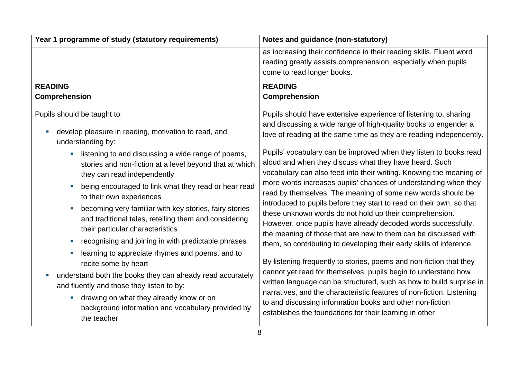| Year 1 programme of study (statutory requirements)                                                                                                                                                                                                                                                                                                                                                                                                                                                                                                                                                                                                                                                                                                                                                                                                                                                       | Notes and guidance (non-statutory)                                                                                                                                                                                                                                                                                                                                                                                                                                                                                                                                                                                                                                                                                                                                                                                                                                                                                                                                                                                                                                                                                                                                                                                                                                                                                  |
|----------------------------------------------------------------------------------------------------------------------------------------------------------------------------------------------------------------------------------------------------------------------------------------------------------------------------------------------------------------------------------------------------------------------------------------------------------------------------------------------------------------------------------------------------------------------------------------------------------------------------------------------------------------------------------------------------------------------------------------------------------------------------------------------------------------------------------------------------------------------------------------------------------|---------------------------------------------------------------------------------------------------------------------------------------------------------------------------------------------------------------------------------------------------------------------------------------------------------------------------------------------------------------------------------------------------------------------------------------------------------------------------------------------------------------------------------------------------------------------------------------------------------------------------------------------------------------------------------------------------------------------------------------------------------------------------------------------------------------------------------------------------------------------------------------------------------------------------------------------------------------------------------------------------------------------------------------------------------------------------------------------------------------------------------------------------------------------------------------------------------------------------------------------------------------------------------------------------------------------|
|                                                                                                                                                                                                                                                                                                                                                                                                                                                                                                                                                                                                                                                                                                                                                                                                                                                                                                          | as increasing their confidence in their reading skills. Fluent word<br>reading greatly assists comprehension, especially when pupils<br>come to read longer books.                                                                                                                                                                                                                                                                                                                                                                                                                                                                                                                                                                                                                                                                                                                                                                                                                                                                                                                                                                                                                                                                                                                                                  |
| <b>READING</b><br><b>Comprehension</b>                                                                                                                                                                                                                                                                                                                                                                                                                                                                                                                                                                                                                                                                                                                                                                                                                                                                   | <b>READING</b><br><b>Comprehension</b>                                                                                                                                                                                                                                                                                                                                                                                                                                                                                                                                                                                                                                                                                                                                                                                                                                                                                                                                                                                                                                                                                                                                                                                                                                                                              |
| Pupils should be taught to:<br>develop pleasure in reading, motivation to read, and<br>I.<br>understanding by:<br>listening to and discussing a wide range of poems,<br>L.<br>stories and non-fiction at a level beyond that at which<br>they can read independently<br>being encouraged to link what they read or hear read<br>I.<br>to their own experiences<br>becoming very familiar with key stories, fairy stories<br>I.<br>and traditional tales, retelling them and considering<br>their particular characteristics<br>recognising and joining in with predictable phrases<br>L.<br>learning to appreciate rhymes and poems, and to<br>E<br>recite some by heart<br>understand both the books they can already read accurately<br>and fluently and those they listen to by:<br>drawing on what they already know or on<br>L.<br>background information and vocabulary provided by<br>the teacher | Pupils should have extensive experience of listening to, sharing<br>and discussing a wide range of high-quality books to engender a<br>love of reading at the same time as they are reading independently.<br>Pupils' vocabulary can be improved when they listen to books read<br>aloud and when they discuss what they have heard. Such<br>vocabulary can also feed into their writing. Knowing the meaning of<br>more words increases pupils' chances of understanding when they<br>read by themselves. The meaning of some new words should be<br>introduced to pupils before they start to read on their own, so that<br>these unknown words do not hold up their comprehension.<br>However, once pupils have already decoded words successfully,<br>the meaning of those that are new to them can be discussed with<br>them, so contributing to developing their early skills of inference.<br>By listening frequently to stories, poems and non-fiction that they<br>cannot yet read for themselves, pupils begin to understand how<br>written language can be structured, such as how to build surprise in<br>narratives, and the characteristic features of non-fiction. Listening<br>to and discussing information books and other non-fiction<br>establishes the foundations for their learning in other |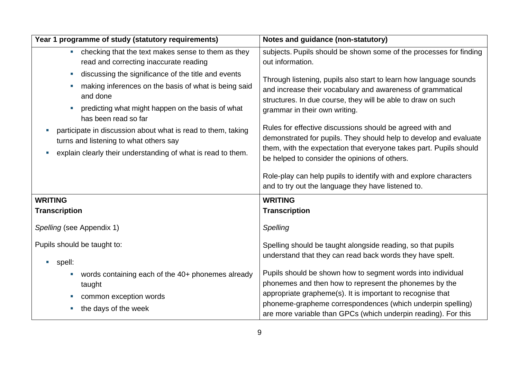| Year 1 programme of study (statutory requirements)                                                                                                                                                                                                                                                                                                                                                     | Notes and guidance (non-statutory)                                                                                                                                                                                                                                                                                                                                                                                                                                                        |
|--------------------------------------------------------------------------------------------------------------------------------------------------------------------------------------------------------------------------------------------------------------------------------------------------------------------------------------------------------------------------------------------------------|-------------------------------------------------------------------------------------------------------------------------------------------------------------------------------------------------------------------------------------------------------------------------------------------------------------------------------------------------------------------------------------------------------------------------------------------------------------------------------------------|
| checking that the text makes sense to them as they<br>read and correcting inaccurate reading                                                                                                                                                                                                                                                                                                           | subjects. Pupils should be shown some of the processes for finding<br>out information.                                                                                                                                                                                                                                                                                                                                                                                                    |
| discussing the significance of the title and events<br>×.<br>making inferences on the basis of what is being said<br>U.<br>and done<br>predicting what might happen on the basis of what<br>×.<br>has been read so far<br>participate in discussion about what is read to them, taking<br>turns and listening to what others say<br>explain clearly their understanding of what is read to them.<br>L. | Through listening, pupils also start to learn how language sounds<br>and increase their vocabulary and awareness of grammatical<br>structures. In due course, they will be able to draw on such<br>grammar in their own writing.<br>Rules for effective discussions should be agreed with and<br>demonstrated for pupils. They should help to develop and evaluate<br>them, with the expectation that everyone takes part. Pupils should<br>be helped to consider the opinions of others. |
|                                                                                                                                                                                                                                                                                                                                                                                                        | Role-play can help pupils to identify with and explore characters<br>and to try out the language they have listened to.                                                                                                                                                                                                                                                                                                                                                                   |
| <b>WRITING</b><br><b>Transcription</b>                                                                                                                                                                                                                                                                                                                                                                 | <b>WRITING</b><br><b>Transcription</b>                                                                                                                                                                                                                                                                                                                                                                                                                                                    |
| Spelling (see Appendix 1)                                                                                                                                                                                                                                                                                                                                                                              | Spelling                                                                                                                                                                                                                                                                                                                                                                                                                                                                                  |
| Pupils should be taught to:<br>• spell:                                                                                                                                                                                                                                                                                                                                                                | Spelling should be taught alongside reading, so that pupils<br>understand that they can read back words they have spelt.                                                                                                                                                                                                                                                                                                                                                                  |
| words containing each of the 40+ phonemes already<br>ш<br>taught<br>common exception words<br>u.<br>the days of the week<br>U.                                                                                                                                                                                                                                                                         | Pupils should be shown how to segment words into individual<br>phonemes and then how to represent the phonemes by the<br>appropriate grapheme(s). It is important to recognise that<br>phoneme-grapheme correspondences (which underpin spelling)<br>are more variable than GPCs (which underpin reading). For this                                                                                                                                                                       |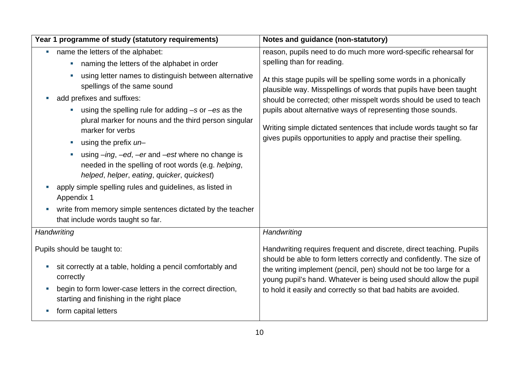| Year 1 programme of study (statutory requirements)                                                                                                                  | Notes and guidance (non-statutory)                                                                                                           |
|---------------------------------------------------------------------------------------------------------------------------------------------------------------------|----------------------------------------------------------------------------------------------------------------------------------------------|
| name the letters of the alphabet:<br>×.                                                                                                                             | reason, pupils need to do much more word-specific rehearsal for                                                                              |
| naming the letters of the alphabet in order<br>$\mathcal{L}_{\mathcal{A}}$                                                                                          | spelling than for reading.                                                                                                                   |
| using letter names to distinguish between alternative<br>×.<br>spellings of the same sound                                                                          | At this stage pupils will be spelling some words in a phonically<br>plausible way. Misspellings of words that pupils have been taught        |
| add prefixes and suffixes:                                                                                                                                          | should be corrected; other misspelt words should be used to teach                                                                            |
| using the spelling rule for adding $-s$ or $-es$ as the<br>$\mathcal{L}_{\mathcal{A}}$<br>plural marker for nouns and the third person singular<br>marker for verbs | pupils about alternative ways of representing those sounds.<br>Writing simple dictated sentences that include words taught so far            |
|                                                                                                                                                                     | gives pupils opportunities to apply and practise their spelling.                                                                             |
| using the prefix un-<br>×.                                                                                                                                          |                                                                                                                                              |
| using $-ing$ , $-ed$ , $-er$ and $-est$ where no change is<br>needed in the spelling of root words (e.g. helping,<br>helped, helper, eating, quicker, quickest)     |                                                                                                                                              |
| apply simple spelling rules and guidelines, as listed in<br>Appendix 1                                                                                              |                                                                                                                                              |
| write from memory simple sentences dictated by the teacher<br>u.<br>that include words taught so far.                                                               |                                                                                                                                              |
| Handwriting                                                                                                                                                         | Handwriting                                                                                                                                  |
| Pupils should be taught to:                                                                                                                                         | Handwriting requires frequent and discrete, direct teaching. Pupils<br>should be able to form letters correctly and confidently. The size of |
| sit correctly at a table, holding a pencil comfortably and<br>correctly                                                                                             | the writing implement (pencil, pen) should not be too large for a<br>young pupil's hand. Whatever is being used should allow the pupil       |
| begin to form lower-case letters in the correct direction,<br>$\sim$<br>starting and finishing in the right place                                                   | to hold it easily and correctly so that bad habits are avoided.                                                                              |
| form capital letters                                                                                                                                                |                                                                                                                                              |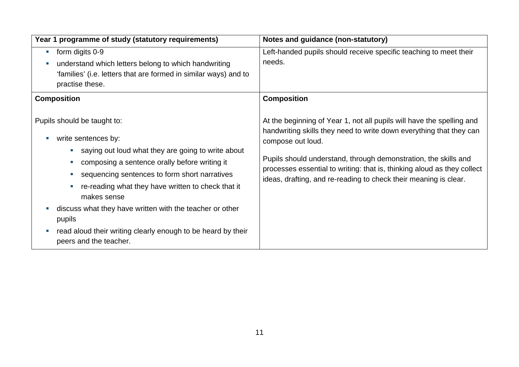| Year 1 programme of study (statutory requirements)                                                                                                                                                                                                                                                                                                                                                               | Notes and guidance (non-statutory)                                                                                                                                                                                                                                                                         |
|------------------------------------------------------------------------------------------------------------------------------------------------------------------------------------------------------------------------------------------------------------------------------------------------------------------------------------------------------------------------------------------------------------------|------------------------------------------------------------------------------------------------------------------------------------------------------------------------------------------------------------------------------------------------------------------------------------------------------------|
| form digits 0-9<br>D.<br>understand which letters belong to which handwriting<br>Ш<br>'families' (i.e. letters that are formed in similar ways) and to<br>practise these.                                                                                                                                                                                                                                        | Left-handed pupils should receive specific teaching to meet their<br>needs.                                                                                                                                                                                                                                |
| <b>Composition</b><br>Pupils should be taught to:                                                                                                                                                                                                                                                                                                                                                                | <b>Composition</b><br>At the beginning of Year 1, not all pupils will have the spelling and                                                                                                                                                                                                                |
| write sentences by:<br>saying out loud what they are going to write about<br>composing a sentence orally before writing it<br>sequencing sentences to form short narratives<br>re-reading what they have written to check that it<br>makes sense<br>discuss what they have written with the teacher or other<br>pupils<br>read aloud their writing clearly enough to be heard by their<br>peers and the teacher. | handwriting skills they need to write down everything that they can<br>compose out loud.<br>Pupils should understand, through demonstration, the skills and<br>processes essential to writing: that is, thinking aloud as they collect<br>ideas, drafting, and re-reading to check their meaning is clear. |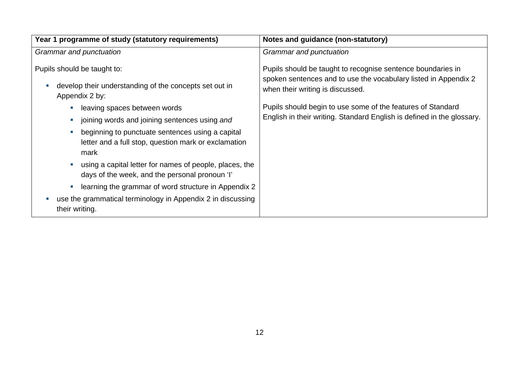| Year 1 programme of study (statutory requirements)                                                                                                                                                                                                                                                                                                                                                                                        | Notes and guidance (non-statutory)                                                                                                                                                                                                                                                                          |
|-------------------------------------------------------------------------------------------------------------------------------------------------------------------------------------------------------------------------------------------------------------------------------------------------------------------------------------------------------------------------------------------------------------------------------------------|-------------------------------------------------------------------------------------------------------------------------------------------------------------------------------------------------------------------------------------------------------------------------------------------------------------|
| Grammar and punctuation                                                                                                                                                                                                                                                                                                                                                                                                                   | Grammar and punctuation                                                                                                                                                                                                                                                                                     |
| Pupils should be taught to:<br>develop their understanding of the concepts set out in<br>Appendix 2 by:<br>leaving spaces between words<br>joining words and joining sentences using and<br>×<br>beginning to punctuate sentences using a capital<br>E<br>letter and a full stop, question mark or exclamation<br>mark<br>using a capital letter for names of people, places, the<br>×.<br>days of the week, and the personal pronoun 'l' | Pupils should be taught to recognise sentence boundaries in<br>spoken sentences and to use the vocabulary listed in Appendix 2<br>when their writing is discussed.<br>Pupils should begin to use some of the features of Standard<br>English in their writing. Standard English is defined in the glossary. |
| learning the grammar of word structure in Appendix 2<br>u.                                                                                                                                                                                                                                                                                                                                                                                |                                                                                                                                                                                                                                                                                                             |
| use the grammatical terminology in Appendix 2 in discussing<br>their writing.                                                                                                                                                                                                                                                                                                                                                             |                                                                                                                                                                                                                                                                                                             |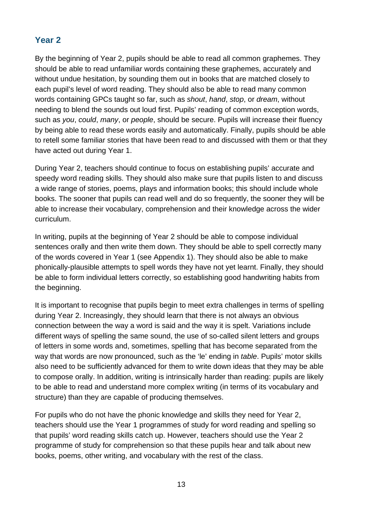#### <span id="page-12-0"></span>**Year 2**

By the beginning of Year 2, pupils should be able to read all common graphemes. They should be able to read unfamiliar words containing these graphemes, accurately and without undue hesitation, by sounding them out in books that are matched closely to each pupil's level of word reading. They should also be able to read many common words containing GPCs taught so far, such as *shout*, *hand*, *stop*, or *dream*, without needing to blend the sounds out loud first. Pupils' reading of common exception words, such as *you*, *could*, *many*, or *people*, should be secure. Pupils will increase their fluency by being able to read these words easily and automatically. Finally, pupils should be able to retell some familiar stories that have been read to and discussed with them or that they have acted out during Year 1.

During Year 2, teachers should continue to focus on establishing pupils' accurate and speedy word reading skills. They should also make sure that pupils listen to and discuss a wide range of stories, poems, plays and information books; this should include whole books. The sooner that pupils can read well and do so frequently, the sooner they will be able to increase their vocabulary, comprehension and their knowledge across the wider curriculum.

In writing, pupils at the beginning of Year 2 should be able to compose individual sentences orally and then write them down. They should be able to spell correctly many of the words covered in Year 1 (see Appendix 1). They should also be able to make phonically-plausible attempts to spell words they have not yet learnt. Finally, they should be able to form individual letters correctly, so establishing good handwriting habits from the beginning.

It is important to recognise that pupils begin to meet extra challenges in terms of spelling during Year 2. Increasingly, they should learn that there is not always an obvious connection between the way a word is said and the way it is spelt. Variations include different ways of spelling the same sound, the use of so-called silent letters and groups of letters in some words and, sometimes, spelling that has become separated from the way that words are now pronounced, such as the 'le' ending in *table*. Pupils' motor skills also need to be sufficiently advanced for them to write down ideas that they may be able to compose orally. In addition, writing is intrinsically harder than reading: pupils are likely to be able to read and understand more complex writing (in terms of its vocabulary and structure) than they are capable of producing themselves.

For pupils who do not have the phonic knowledge and skills they need for Year 2, teachers should use the Year 1 programmes of study for word reading and spelling so that pupils' word reading skills catch up. However, teachers should use the Year 2 programme of study for comprehension so that these pupils hear and talk about new books, poems, other writing, and vocabulary with the rest of the class.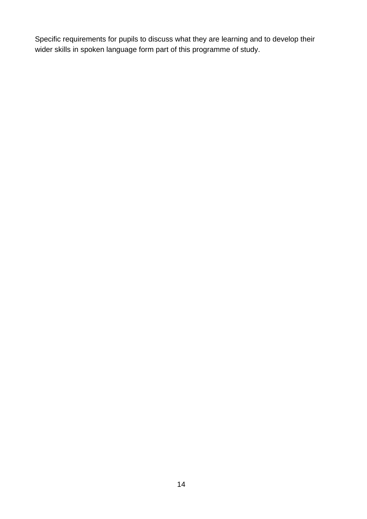Specific requirements for pupils to discuss what they are learning and to develop their wider skills in spoken language form part of this programme of study.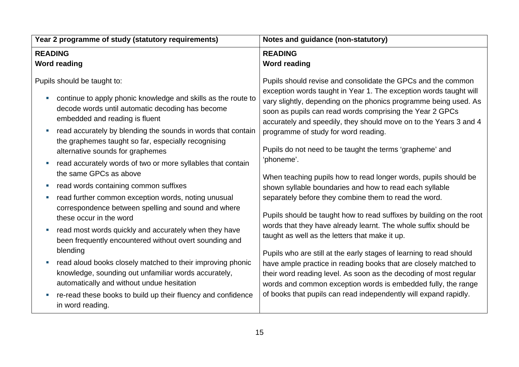| Year 2 programme of study (statutory requirements)                                                                                                                                                                                                                                                                                                                                                                 | Notes and guidance (non-statutory)                                                                                                                                                                                                                                                                                                                                                                                                         |
|--------------------------------------------------------------------------------------------------------------------------------------------------------------------------------------------------------------------------------------------------------------------------------------------------------------------------------------------------------------------------------------------------------------------|--------------------------------------------------------------------------------------------------------------------------------------------------------------------------------------------------------------------------------------------------------------------------------------------------------------------------------------------------------------------------------------------------------------------------------------------|
| <b>READING</b>                                                                                                                                                                                                                                                                                                                                                                                                     | <b>READING</b>                                                                                                                                                                                                                                                                                                                                                                                                                             |
| <b>Word reading</b>                                                                                                                                                                                                                                                                                                                                                                                                | <b>Word reading</b>                                                                                                                                                                                                                                                                                                                                                                                                                        |
| Pupils should be taught to:<br>continue to apply phonic knowledge and skills as the route to<br>×.<br>decode words until automatic decoding has become<br>embedded and reading is fluent<br>read accurately by blending the sounds in words that contain<br><b>Co</b><br>the graphemes taught so far, especially recognising<br>alternative sounds for graphemes                                                   | Pupils should revise and consolidate the GPCs and the common<br>exception words taught in Year 1. The exception words taught will<br>vary slightly, depending on the phonics programme being used. As<br>soon as pupils can read words comprising the Year 2 GPCs<br>accurately and speedily, they should move on to the Years 3 and 4<br>programme of study for word reading.<br>Pupils do not need to be taught the terms 'grapheme' and |
| read accurately words of two or more syllables that contain<br>×.<br>the same GPCs as above<br>read words containing common suffixes<br>×.<br>read further common exception words, noting unusual<br>L.<br>correspondence between spelling and sound and where<br>these occur in the word<br>read most words quickly and accurately when they have<br>H.<br>been frequently encountered without overt sounding and | 'phoneme'.<br>When teaching pupils how to read longer words, pupils should be<br>shown syllable boundaries and how to read each syllable<br>separately before they combine them to read the word.<br>Pupils should be taught how to read suffixes by building on the root<br>words that they have already learnt. The whole suffix should be<br>taught as well as the letters that make it up.                                             |
| blending<br>read aloud books closely matched to their improving phonic<br>u.<br>knowledge, sounding out unfamiliar words accurately,<br>automatically and without undue hesitation<br>re-read these books to build up their fluency and confidence<br>in word reading.                                                                                                                                             | Pupils who are still at the early stages of learning to read should<br>have ample practice in reading books that are closely matched to<br>their word reading level. As soon as the decoding of most regular<br>words and common exception words is embedded fully, the range<br>of books that pupils can read independently will expand rapidly.                                                                                          |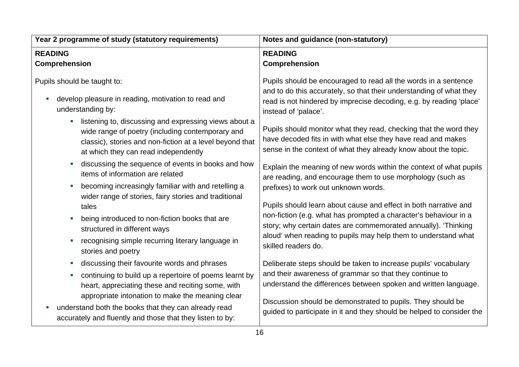| <b>READING</b><br><b>Comprehension</b>                                                                                                                                                               |
|------------------------------------------------------------------------------------------------------------------------------------------------------------------------------------------------------|
|                                                                                                                                                                                                      |
|                                                                                                                                                                                                      |
| Pupils should be encouraged to read all the words in a sentence<br>and to do this accurately, so that their understanding of what they                                                               |
| read is not hindered by imprecise decoding, e.g. by reading 'place'<br>instead of 'palace'.                                                                                                          |
| Pupils should monitor what they read, checking that the word they<br>have decoded fits in with what else they have read and makes<br>sense in the context of what they already know about the topic. |
| Explain the meaning of new words within the context of what pupils<br>are reading, and encourage them to use morphology (such as                                                                     |
| prefixes) to work out unknown words.<br>Pupils should learn about cause and effect in both narrative and                                                                                             |
| non-fiction (e.g. what has prompted a character's behaviour in a<br>story; why certain dates are commemorated annually). 'Thinking                                                                   |
| aloud' when reading to pupils may help them to understand what<br>skilled readers do.                                                                                                                |
| Deliberate steps should be taken to increase pupils' vocabulary                                                                                                                                      |
| and their awareness of grammar so that they continue to<br>understand the differences between spoken and written language.                                                                           |
| Discussion should be demonstrated to pupils. They should be<br>guided to participate in it and they should be helped to consider the                                                                 |
|                                                                                                                                                                                                      |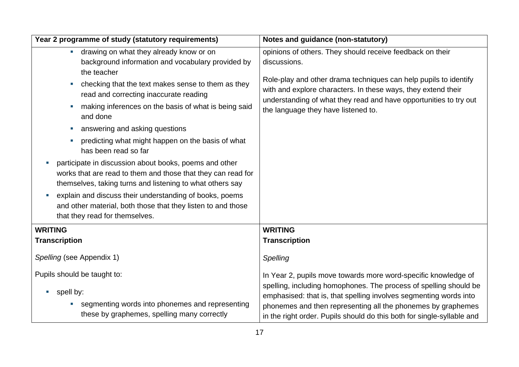| Year 2 programme of study (statutory requirements)                                                                                                                                                                                                                                                                                                                                                                                                                                                                                                                                                                                                                                                                                                                                     | Notes and guidance (non-statutory)                                                                                                                                                                                                                                                                                         |
|----------------------------------------------------------------------------------------------------------------------------------------------------------------------------------------------------------------------------------------------------------------------------------------------------------------------------------------------------------------------------------------------------------------------------------------------------------------------------------------------------------------------------------------------------------------------------------------------------------------------------------------------------------------------------------------------------------------------------------------------------------------------------------------|----------------------------------------------------------------------------------------------------------------------------------------------------------------------------------------------------------------------------------------------------------------------------------------------------------------------------|
| drawing on what they already know or on<br>×.<br>background information and vocabulary provided by<br>the teacher<br>checking that the text makes sense to them as they<br>L.<br>read and correcting inaccurate reading<br>making inferences on the basis of what is being said<br>L.<br>and done<br>answering and asking questions<br>L.<br>predicting what might happen on the basis of what<br>×.<br>has been read so far<br>participate in discussion about books, poems and other<br>works that are read to them and those that they can read for<br>themselves, taking turns and listening to what others say<br>explain and discuss their understanding of books, poems<br>L.<br>and other material, both those that they listen to and those<br>that they read for themselves. | opinions of others. They should receive feedback on their<br>discussions.<br>Role-play and other drama techniques can help pupils to identify<br>with and explore characters. In these ways, they extend their<br>understanding of what they read and have opportunities to try out<br>the language they have listened to. |
| <b>WRITING</b>                                                                                                                                                                                                                                                                                                                                                                                                                                                                                                                                                                                                                                                                                                                                                                         | <b>WRITING</b>                                                                                                                                                                                                                                                                                                             |
| <b>Transcription</b>                                                                                                                                                                                                                                                                                                                                                                                                                                                                                                                                                                                                                                                                                                                                                                   | <b>Transcription</b>                                                                                                                                                                                                                                                                                                       |
| Spelling (see Appendix 1)                                                                                                                                                                                                                                                                                                                                                                                                                                                                                                                                                                                                                                                                                                                                                              | Spelling                                                                                                                                                                                                                                                                                                                   |
| Pupils should be taught to:                                                                                                                                                                                                                                                                                                                                                                                                                                                                                                                                                                                                                                                                                                                                                            | In Year 2, pupils move towards more word-specific knowledge of                                                                                                                                                                                                                                                             |
| spell by:<br>segmenting words into phonemes and representing<br>these by graphemes, spelling many correctly                                                                                                                                                                                                                                                                                                                                                                                                                                                                                                                                                                                                                                                                            | spelling, including homophones. The process of spelling should be<br>emphasised: that is, that spelling involves segmenting words into<br>phonemes and then representing all the phonemes by graphemes<br>in the right order. Pupils should do this both for single-syllable and                                           |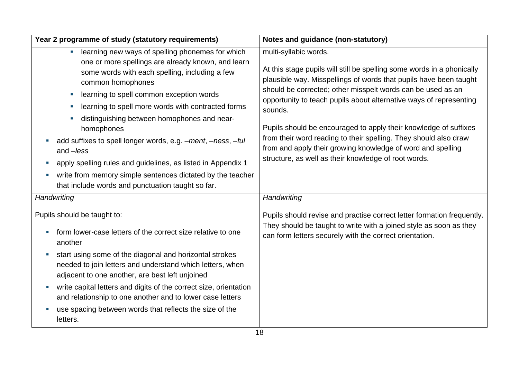| Year 2 programme of study (statutory requirements)                                                                                                                                                                                                                                                                                                                                                                                                                                                                                                                                                                                   | Notes and guidance (non-statutory)                                                                                                                                                                                                                                                                                                                                                                                                                                                                                                                                                  |
|--------------------------------------------------------------------------------------------------------------------------------------------------------------------------------------------------------------------------------------------------------------------------------------------------------------------------------------------------------------------------------------------------------------------------------------------------------------------------------------------------------------------------------------------------------------------------------------------------------------------------------------|-------------------------------------------------------------------------------------------------------------------------------------------------------------------------------------------------------------------------------------------------------------------------------------------------------------------------------------------------------------------------------------------------------------------------------------------------------------------------------------------------------------------------------------------------------------------------------------|
| learning new ways of spelling phonemes for which<br>one or more spellings are already known, and learn<br>some words with each spelling, including a few<br>common homophones<br>learning to spell common exception words<br>a.<br>learning to spell more words with contracted forms<br>distinguishing between homophones and near-<br>L.<br>homophones<br>add suffixes to spell longer words, e.g. -ment, -ness, -ful<br>and $-less$<br>apply spelling rules and guidelines, as listed in Appendix 1<br>ш<br>write from memory simple sentences dictated by the teacher<br>×.<br>that include words and punctuation taught so far. | multi-syllabic words.<br>At this stage pupils will still be spelling some words in a phonically<br>plausible way. Misspellings of words that pupils have been taught<br>should be corrected; other misspelt words can be used as an<br>opportunity to teach pupils about alternative ways of representing<br>sounds.<br>Pupils should be encouraged to apply their knowledge of suffixes<br>from their word reading to their spelling. They should also draw<br>from and apply their growing knowledge of word and spelling<br>structure, as well as their knowledge of root words. |
| Handwriting                                                                                                                                                                                                                                                                                                                                                                                                                                                                                                                                                                                                                          | Handwriting                                                                                                                                                                                                                                                                                                                                                                                                                                                                                                                                                                         |
| Pupils should be taught to:<br>form lower-case letters of the correct size relative to one<br>another                                                                                                                                                                                                                                                                                                                                                                                                                                                                                                                                | Pupils should revise and practise correct letter formation frequently.<br>They should be taught to write with a joined style as soon as they<br>can form letters securely with the correct orientation.                                                                                                                                                                                                                                                                                                                                                                             |
| start using some of the diagonal and horizontal strokes<br>×.<br>needed to join letters and understand which letters, when<br>adjacent to one another, are best left unjoined                                                                                                                                                                                                                                                                                                                                                                                                                                                        |                                                                                                                                                                                                                                                                                                                                                                                                                                                                                                                                                                                     |
| write capital letters and digits of the correct size, orientation<br>×.<br>and relationship to one another and to lower case letters<br>use spacing between words that reflects the size of the                                                                                                                                                                                                                                                                                                                                                                                                                                      |                                                                                                                                                                                                                                                                                                                                                                                                                                                                                                                                                                                     |
| letters.                                                                                                                                                                                                                                                                                                                                                                                                                                                                                                                                                                                                                             |                                                                                                                                                                                                                                                                                                                                                                                                                                                                                                                                                                                     |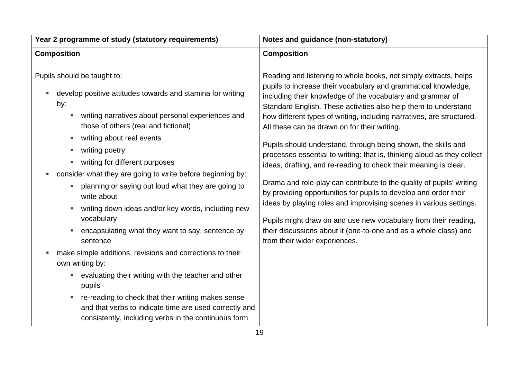| Year 2 programme of study (statutory requirements)                                                                                                                                                                                                                                                                                                                                                                                                                                                                                                                                                                                                                                                                                                                                                                                                                                         | Notes and guidance (non-statutory)                                                                                                                                                                                                                                                                                                                                                                                                                                                                                                                                                                                                                                                                                                                                                                                                                                                                                                                                                                           |
|--------------------------------------------------------------------------------------------------------------------------------------------------------------------------------------------------------------------------------------------------------------------------------------------------------------------------------------------------------------------------------------------------------------------------------------------------------------------------------------------------------------------------------------------------------------------------------------------------------------------------------------------------------------------------------------------------------------------------------------------------------------------------------------------------------------------------------------------------------------------------------------------|--------------------------------------------------------------------------------------------------------------------------------------------------------------------------------------------------------------------------------------------------------------------------------------------------------------------------------------------------------------------------------------------------------------------------------------------------------------------------------------------------------------------------------------------------------------------------------------------------------------------------------------------------------------------------------------------------------------------------------------------------------------------------------------------------------------------------------------------------------------------------------------------------------------------------------------------------------------------------------------------------------------|
| <b>Composition</b>                                                                                                                                                                                                                                                                                                                                                                                                                                                                                                                                                                                                                                                                                                                                                                                                                                                                         | <b>Composition</b>                                                                                                                                                                                                                                                                                                                                                                                                                                                                                                                                                                                                                                                                                                                                                                                                                                                                                                                                                                                           |
| Pupils should be taught to:<br>develop positive attitudes towards and stamina for writing<br>by:<br>writing narratives about personal experiences and<br>those of others (real and fictional)<br>writing about real events<br>×,<br>writing poetry<br>×.<br>writing for different purposes<br>consider what they are going to write before beginning by:<br>planning or saying out loud what they are going to<br>write about<br>writing down ideas and/or key words, including new<br>vocabulary<br>encapsulating what they want to say, sentence by<br>sentence<br>make simple additions, revisions and corrections to their<br>own writing by:<br>evaluating their writing with the teacher and other<br>pupils<br>re-reading to check that their writing makes sense<br>and that verbs to indicate time are used correctly and<br>consistently, including verbs in the continuous form | Reading and listening to whole books, not simply extracts, helps<br>pupils to increase their vocabulary and grammatical knowledge,<br>including their knowledge of the vocabulary and grammar of<br>Standard English. These activities also help them to understand<br>how different types of writing, including narratives, are structured.<br>All these can be drawn on for their writing.<br>Pupils should understand, through being shown, the skills and<br>processes essential to writing: that is, thinking aloud as they collect<br>ideas, drafting, and re-reading to check their meaning is clear.<br>Drama and role-play can contribute to the quality of pupils' writing<br>by providing opportunities for pupils to develop and order their<br>ideas by playing roles and improvising scenes in various settings.<br>Pupils might draw on and use new vocabulary from their reading,<br>their discussions about it (one-to-one and as a whole class) and<br>from their wider experiences.<br>19 |
|                                                                                                                                                                                                                                                                                                                                                                                                                                                                                                                                                                                                                                                                                                                                                                                                                                                                                            |                                                                                                                                                                                                                                                                                                                                                                                                                                                                                                                                                                                                                                                                                                                                                                                                                                                                                                                                                                                                              |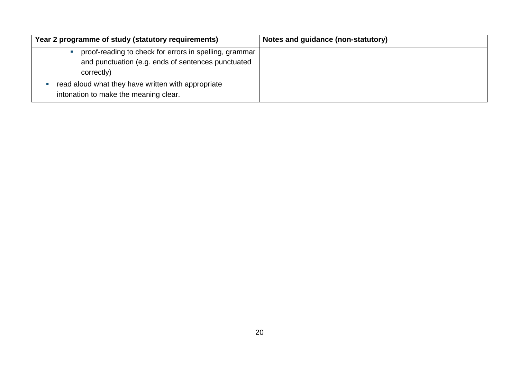| Year 2 programme of study (statutory requirements)                                                                         | Notes and guidance (non-statutory) |
|----------------------------------------------------------------------------------------------------------------------------|------------------------------------|
| proof-reading to check for errors in spelling, grammar<br>and punctuation (e.g. ends of sentences punctuated<br>correctly) |                                    |
| read aloud what they have written with appropriate<br>intonation to make the meaning clear.                                |                                    |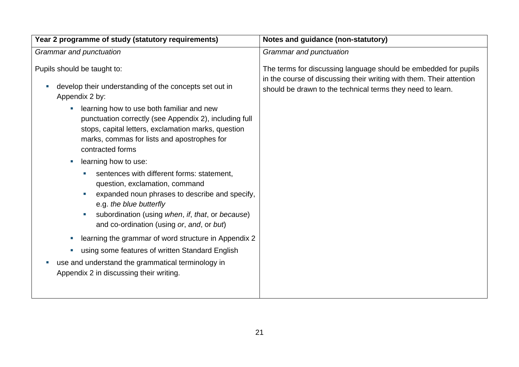| Year 2 programme of study (statutory requirements)                                                                                                                                                                                                                                                                                                                                                                                                                                                                                                                                                                                                                                                                                                                                                                                                         | Notes and guidance (non-statutory)                                                                                                                                                                    |
|------------------------------------------------------------------------------------------------------------------------------------------------------------------------------------------------------------------------------------------------------------------------------------------------------------------------------------------------------------------------------------------------------------------------------------------------------------------------------------------------------------------------------------------------------------------------------------------------------------------------------------------------------------------------------------------------------------------------------------------------------------------------------------------------------------------------------------------------------------|-------------------------------------------------------------------------------------------------------------------------------------------------------------------------------------------------------|
| Grammar and punctuation                                                                                                                                                                                                                                                                                                                                                                                                                                                                                                                                                                                                                                                                                                                                                                                                                                    | Grammar and punctuation                                                                                                                                                                               |
| Pupils should be taught to:<br>develop their understanding of the concepts set out in<br>Appendix 2 by:<br>learning how to use both familiar and new<br>punctuation correctly (see Appendix 2), including full<br>stops, capital letters, exclamation marks, question<br>marks, commas for lists and apostrophes for<br>contracted forms<br>learning how to use:<br>E<br>sentences with different forms: statement,<br>question, exclamation, command<br>expanded noun phrases to describe and specify,<br>e.g. the blue butterfly<br>subordination (using when, if, that, or because)<br>×.<br>and co-ordination (using or, and, or but)<br>learning the grammar of word structure in Appendix 2<br>×.<br>using some features of written Standard English<br>use and understand the grammatical terminology in<br>Appendix 2 in discussing their writing. | The terms for discussing language should be embedded for pupils<br>in the course of discussing their writing with them. Their attention<br>should be drawn to the technical terms they need to learn. |
|                                                                                                                                                                                                                                                                                                                                                                                                                                                                                                                                                                                                                                                                                                                                                                                                                                                            |                                                                                                                                                                                                       |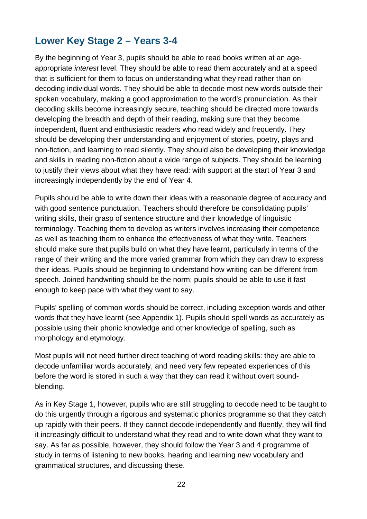#### <span id="page-21-0"></span>**Lower Key Stage 2 – Years 3-4**

By the beginning of Year 3, pupils should be able to read books written at an ageappropriate *interest* level. They should be able to read them accurately and at a speed that is sufficient for them to focus on understanding what they read rather than on decoding individual words. They should be able to decode most new words outside their spoken vocabulary, making a good approximation to the word's pronunciation. As their decoding skills become increasingly secure, teaching should be directed more towards developing the breadth and depth of their reading, making sure that they become independent, fluent and enthusiastic readers who read widely and frequently. They should be developing their understanding and enjoyment of stories, poetry, plays and non-fiction, and learning to read silently. They should also be developing their knowledge and skills in reading non-fiction about a wide range of subjects. They should be learning to justify their views about what they have read: with support at the start of Year 3 and increasingly independently by the end of Year 4.

Pupils should be able to write down their ideas with a reasonable degree of accuracy and with good sentence punctuation. Teachers should therefore be consolidating pupils' writing skills, their grasp of sentence structure and their knowledge of linguistic terminology. Teaching them to develop as writers involves increasing their competence as well as teaching them to enhance the effectiveness of what they write. Teachers should make sure that pupils build on what they have learnt, particularly in terms of the range of their writing and the more varied grammar from which they can draw to express their ideas. Pupils should be beginning to understand how writing can be different from speech. Joined handwriting should be the norm; pupils should be able to use it fast enough to keep pace with what they want to say.

Pupils' spelling of common words should be correct, including exception words and other words that they have learnt (see Appendix 1). Pupils should spell words as accurately as possible using their phonic knowledge and other knowledge of spelling, such as morphology and etymology.

Most pupils will not need further direct teaching of word reading skills: they are able to decode unfamiliar words accurately, and need very few repeated experiences of this before the word is stored in such a way that they can read it without overt soundblending.

As in Key Stage 1, however, pupils who are still struggling to decode need to be taught to do this urgently through a rigorous and systematic phonics programme so that they catch up rapidly with their peers. If they cannot decode independently and fluently, they will find it increasingly difficult to understand what they read and to write down what they want to say. As far as possible, however, they should follow the Year 3 and 4 programme of study in terms of listening to new books, hearing and learning new vocabulary and grammatical structures, and discussing these.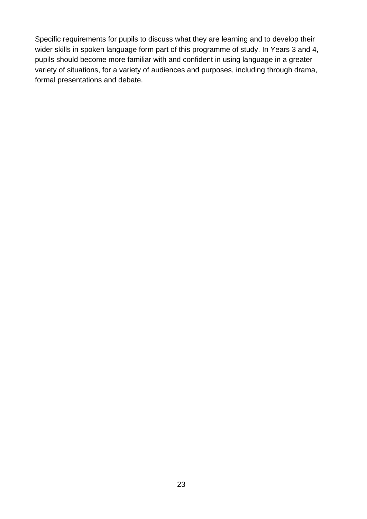Specific requirements for pupils to discuss what they are learning and to develop their wider skills in spoken language form part of this programme of study. In Years 3 and 4, pupils should become more familiar with and confident in using language in a greater variety of situations, for a variety of audiences and purposes, including through drama, formal presentations and debate.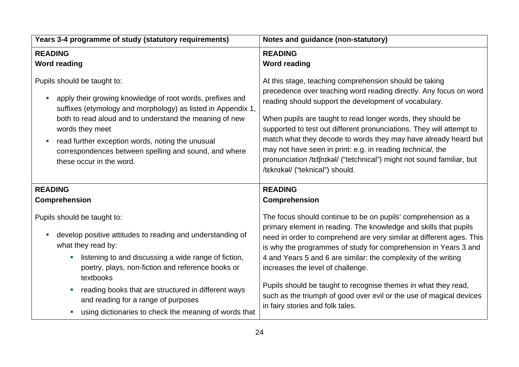| Years 3-4 programme of study (statutory requirements)                                                                                                                                                                                                                                                                                                                                             | Notes and guidance (non-statutory)                                                                                                                                                                                                                                                                                                                                                                                                                                                                                                                                                |
|---------------------------------------------------------------------------------------------------------------------------------------------------------------------------------------------------------------------------------------------------------------------------------------------------------------------------------------------------------------------------------------------------|-----------------------------------------------------------------------------------------------------------------------------------------------------------------------------------------------------------------------------------------------------------------------------------------------------------------------------------------------------------------------------------------------------------------------------------------------------------------------------------------------------------------------------------------------------------------------------------|
| <b>READING</b><br><b>Word reading</b>                                                                                                                                                                                                                                                                                                                                                             | <b>READING</b><br><b>Word reading</b>                                                                                                                                                                                                                                                                                                                                                                                                                                                                                                                                             |
| Pupils should be taught to:<br>apply their growing knowledge of root words, prefixes and<br>×.<br>suffixes (etymology and morphology) as listed in Appendix 1,<br>both to read aloud and to understand the meaning of new<br>words they meet<br>read further exception words, noting the unusual<br><b>C</b><br>correspondences between spelling and sound, and where<br>these occur in the word. | At this stage, teaching comprehension should be taking<br>precedence over teaching word reading directly. Any focus on word<br>reading should support the development of vocabulary.<br>When pupils are taught to read longer words, they should be<br>supported to test out different pronunciations. They will attempt to<br>match what they decode to words they may have already heard but<br>may not have seen in print: e.g. in reading <i>technical</i> , the<br>pronunciation /tɛtʃnɪkəl/ ("tetchnical") might not sound familiar, but<br>/tɛknɪkəl/ ("teknical") should. |
| <b>READING</b>                                                                                                                                                                                                                                                                                                                                                                                    | <b>READING</b>                                                                                                                                                                                                                                                                                                                                                                                                                                                                                                                                                                    |
| Comprehension                                                                                                                                                                                                                                                                                                                                                                                     | <b>Comprehension</b>                                                                                                                                                                                                                                                                                                                                                                                                                                                                                                                                                              |
| Pupils should be taught to:<br>develop positive attitudes to reading and understanding of<br>u.<br>what they read by:<br>listening to and discussing a wide range of fiction,<br>$\mathcal{L}_{\mathcal{A}}$<br>poetry, plays, non-fiction and reference books or                                                                                                                                 | The focus should continue to be on pupils' comprehension as a<br>primary element in reading. The knowledge and skills that pupils<br>need in order to comprehend are very similar at different ages. This<br>is why the programmes of study for comprehension in Years 3 and<br>4 and Years 5 and 6 are similar: the complexity of the writing<br>increases the level of challenge.                                                                                                                                                                                               |
| textbooks<br>reading books that are structured in different ways<br>×.<br>and reading for a range of purposes<br>using dictionaries to check the meaning of words that                                                                                                                                                                                                                            | Pupils should be taught to recognise themes in what they read,<br>such as the triumph of good over evil or the use of magical devices<br>in fairy stories and folk tales.                                                                                                                                                                                                                                                                                                                                                                                                         |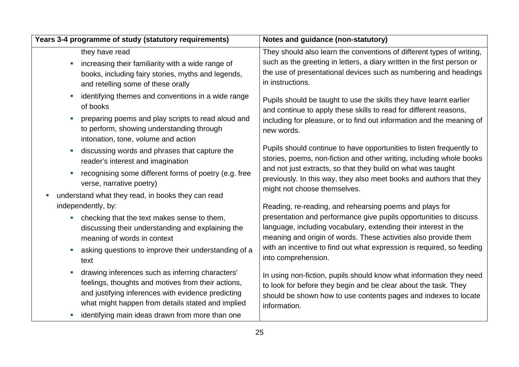| Years 3-4 programme of study (statutory requirements)                                                                                                                                                                                                                      | Notes and guidance (non-statutory)                                                                                                                                                                                        |
|----------------------------------------------------------------------------------------------------------------------------------------------------------------------------------------------------------------------------------------------------------------------------|---------------------------------------------------------------------------------------------------------------------------------------------------------------------------------------------------------------------------|
| they have read                                                                                                                                                                                                                                                             | They should also learn the conventions of different types of writing,<br>such as the greeting in letters, a diary written in the first person or                                                                          |
| increasing their familiarity with a wide range of<br>Ì.<br>books, including fairy stories, myths and legends,<br>and retelling some of these orally                                                                                                                        | the use of presentational devices such as numbering and headings<br>in instructions.                                                                                                                                      |
| identifying themes and conventions in a wide range<br>L.<br>of books                                                                                                                                                                                                       | Pupils should be taught to use the skills they have learnt earlier<br>and continue to apply these skills to read for different reasons,                                                                                   |
| preparing poems and play scripts to read aloud and<br>L.<br>to perform, showing understanding through<br>intonation, tone, volume and action                                                                                                                               | including for pleasure, or to find out information and the meaning of<br>new words.                                                                                                                                       |
| discussing words and phrases that capture the<br>×.<br>reader's interest and imagination                                                                                                                                                                                   | Pupils should continue to have opportunities to listen frequently to<br>stories, poems, non-fiction and other writing, including whole books                                                                              |
| recognising some different forms of poetry (e.g. free<br>L.<br>verse, narrative poetry)                                                                                                                                                                                    | and not just extracts, so that they build on what was taught<br>previously. In this way, they also meet books and authors that they<br>might not choose themselves.                                                       |
| understand what they read, in books they can read                                                                                                                                                                                                                          |                                                                                                                                                                                                                           |
| independently, by:                                                                                                                                                                                                                                                         | Reading, re-reading, and rehearsing poems and plays for                                                                                                                                                                   |
| checking that the text makes sense to them,<br>I.<br>discussing their understanding and explaining the<br>meaning of words in context                                                                                                                                      | presentation and performance give pupils opportunities to discuss<br>language, including vocabulary, extending their interest in the<br>meaning and origin of words. These activities also provide them                   |
| asking questions to improve their understanding of a<br>L.<br>text                                                                                                                                                                                                         | with an incentive to find out what expression is required, so feeding<br>into comprehension.                                                                                                                              |
| drawing inferences such as inferring characters'<br>I.<br>feelings, thoughts and motives from their actions,<br>and justifying inferences with evidence predicting<br>what might happen from details stated and implied<br>identifying main ideas drawn from more than one | In using non-fiction, pupils should know what information they need<br>to look for before they begin and be clear about the task. They<br>should be shown how to use contents pages and indexes to locate<br>information. |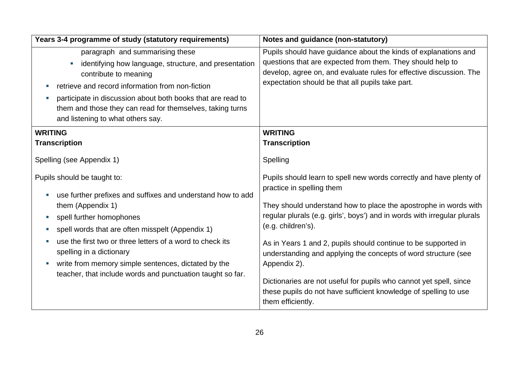| Years 3-4 programme of study (statutory requirements)                                                                                                                                                                                                                                                                                                                                                                     | Notes and guidance (non-statutory)                                                                                                                                                                                                                                                                                                                                                                                                                                                                                                                                                        |
|---------------------------------------------------------------------------------------------------------------------------------------------------------------------------------------------------------------------------------------------------------------------------------------------------------------------------------------------------------------------------------------------------------------------------|-------------------------------------------------------------------------------------------------------------------------------------------------------------------------------------------------------------------------------------------------------------------------------------------------------------------------------------------------------------------------------------------------------------------------------------------------------------------------------------------------------------------------------------------------------------------------------------------|
| paragraph and summarising these<br>identifying how language, structure, and presentation<br>contribute to meaning<br>retrieve and record information from non-fiction<br>participate in discussion about both books that are read to<br>them and those they can read for themselves, taking turns<br>and listening to what others say.                                                                                    | Pupils should have guidance about the kinds of explanations and<br>questions that are expected from them. They should help to<br>develop, agree on, and evaluate rules for effective discussion. The<br>expectation should be that all pupils take part.                                                                                                                                                                                                                                                                                                                                  |
| <b>WRITING</b>                                                                                                                                                                                                                                                                                                                                                                                                            | <b>WRITING</b>                                                                                                                                                                                                                                                                                                                                                                                                                                                                                                                                                                            |
| <b>Transcription</b>                                                                                                                                                                                                                                                                                                                                                                                                      | <b>Transcription</b>                                                                                                                                                                                                                                                                                                                                                                                                                                                                                                                                                                      |
| Spelling (see Appendix 1)                                                                                                                                                                                                                                                                                                                                                                                                 | Spelling                                                                                                                                                                                                                                                                                                                                                                                                                                                                                                                                                                                  |
| Pupils should be taught to:<br>use further prefixes and suffixes and understand how to add<br>them (Appendix 1)<br>spell further homophones<br>spell words that are often misspelt (Appendix 1)<br><b>I</b><br>use the first two or three letters of a word to check its<br>spelling in a dictionary<br>write from memory simple sentences, dictated by the<br>teacher, that include words and punctuation taught so far. | Pupils should learn to spell new words correctly and have plenty of<br>practice in spelling them<br>They should understand how to place the apostrophe in words with<br>regular plurals (e.g. girls', boys') and in words with irregular plurals<br>(e.g. children's).<br>As in Years 1 and 2, pupils should continue to be supported in<br>understanding and applying the concepts of word structure (see<br>Appendix 2).<br>Dictionaries are not useful for pupils who cannot yet spell, since<br>these pupils do not have sufficient knowledge of spelling to use<br>them efficiently. |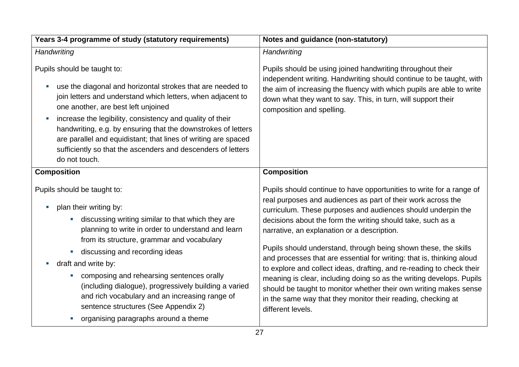| Years 3-4 programme of study (statutory requirements)                                                                                                                                                                                                                                                                                                                                                                                                                                                                                   | Notes and guidance (non-statutory)                                                                                                                                                                                                                                                                                                                                                                                                                                                                                                                                                                                                                                                                                                                                        |
|-----------------------------------------------------------------------------------------------------------------------------------------------------------------------------------------------------------------------------------------------------------------------------------------------------------------------------------------------------------------------------------------------------------------------------------------------------------------------------------------------------------------------------------------|---------------------------------------------------------------------------------------------------------------------------------------------------------------------------------------------------------------------------------------------------------------------------------------------------------------------------------------------------------------------------------------------------------------------------------------------------------------------------------------------------------------------------------------------------------------------------------------------------------------------------------------------------------------------------------------------------------------------------------------------------------------------------|
| Handwriting                                                                                                                                                                                                                                                                                                                                                                                                                                                                                                                             | Handwriting                                                                                                                                                                                                                                                                                                                                                                                                                                                                                                                                                                                                                                                                                                                                                               |
| Pupils should be taught to:<br>use the diagonal and horizontal strokes that are needed to<br>I.<br>join letters and understand which letters, when adjacent to<br>one another, are best left unjoined<br>increase the legibility, consistency and quality of their<br>I.<br>handwriting, e.g. by ensuring that the downstrokes of letters<br>are parallel and equidistant; that lines of writing are spaced<br>sufficiently so that the ascenders and descenders of letters<br>do not touch.                                            | Pupils should be using joined handwriting throughout their<br>independent writing. Handwriting should continue to be taught, with<br>the aim of increasing the fluency with which pupils are able to write<br>down what they want to say. This, in turn, will support their<br>composition and spelling.                                                                                                                                                                                                                                                                                                                                                                                                                                                                  |
| <b>Composition</b>                                                                                                                                                                                                                                                                                                                                                                                                                                                                                                                      | <b>Composition</b>                                                                                                                                                                                                                                                                                                                                                                                                                                                                                                                                                                                                                                                                                                                                                        |
| Pupils should be taught to:<br>plan their writing by:<br>u.<br>discussing writing similar to that which they are<br>I.<br>planning to write in order to understand and learn<br>from its structure, grammar and vocabulary<br>discussing and recording ideas<br>L.<br>draft and write by:<br>composing and rehearsing sentences orally<br>L.<br>(including dialogue), progressively building a varied<br>and rich vocabulary and an increasing range of<br>sentence structures (See Appendix 2)<br>organising paragraphs around a theme | Pupils should continue to have opportunities to write for a range of<br>real purposes and audiences as part of their work across the<br>curriculum. These purposes and audiences should underpin the<br>decisions about the form the writing should take, such as a<br>narrative, an explanation or a description.<br>Pupils should understand, through being shown these, the skills<br>and processes that are essential for writing: that is, thinking aloud<br>to explore and collect ideas, drafting, and re-reading to check their<br>meaning is clear, including doing so as the writing develops. Pupils<br>should be taught to monitor whether their own writing makes sense<br>in the same way that they monitor their reading, checking at<br>different levels. |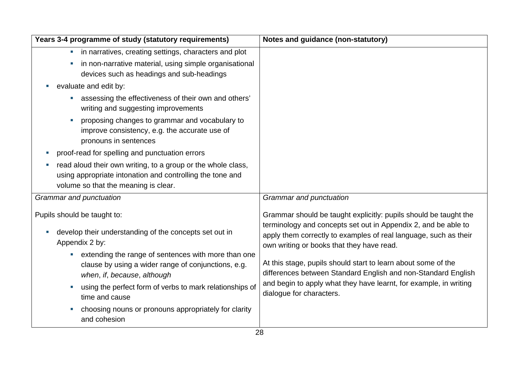| Years 3-4 programme of study (statutory requirements)                                                                                                                                                                                                                                                                                                                                                                                                                                      | Notes and guidance (non-statutory)                                                                                                                                                                                                                                                                                                                                                                                                                                                     |
|--------------------------------------------------------------------------------------------------------------------------------------------------------------------------------------------------------------------------------------------------------------------------------------------------------------------------------------------------------------------------------------------------------------------------------------------------------------------------------------------|----------------------------------------------------------------------------------------------------------------------------------------------------------------------------------------------------------------------------------------------------------------------------------------------------------------------------------------------------------------------------------------------------------------------------------------------------------------------------------------|
| in narratives, creating settings, characters and plot<br>$\blacksquare$<br>in non-narrative material, using simple organisational<br>×.<br>devices such as headings and sub-headings                                                                                                                                                                                                                                                                                                       |                                                                                                                                                                                                                                                                                                                                                                                                                                                                                        |
| evaluate and edit by:<br>assessing the effectiveness of their own and others'<br>writing and suggesting improvements<br>proposing changes to grammar and vocabulary to<br><b>Co</b><br>improve consistency, e.g. the accurate use of<br>pronouns in sentences<br>proof-read for spelling and punctuation errors<br>U.<br>read aloud their own writing, to a group or the whole class,<br>using appropriate intonation and controlling the tone and<br>volume so that the meaning is clear. |                                                                                                                                                                                                                                                                                                                                                                                                                                                                                        |
| Grammar and punctuation                                                                                                                                                                                                                                                                                                                                                                                                                                                                    | Grammar and punctuation                                                                                                                                                                                                                                                                                                                                                                                                                                                                |
| Pupils should be taught to:<br>develop their understanding of the concepts set out in<br>Appendix 2 by:<br>extending the range of sentences with more than one<br><b>E</b><br>clause by using a wider range of conjunctions, e.g.<br>when, if, because, although<br>using the perfect form of verbs to mark relationships of<br>a.<br>time and cause<br>choosing nouns or pronouns appropriately for clarity<br>×.<br>and cohesion                                                         | Grammar should be taught explicitly: pupils should be taught the<br>terminology and concepts set out in Appendix 2, and be able to<br>apply them correctly to examples of real language, such as their<br>own writing or books that they have read.<br>At this stage, pupils should start to learn about some of the<br>differences between Standard English and non-Standard English<br>and begin to apply what they have learnt, for example, in writing<br>dialogue for characters. |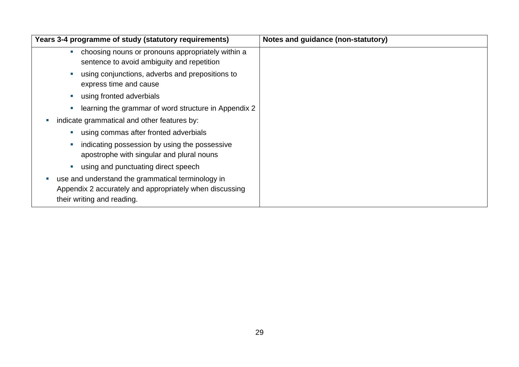|  | Years 3-4 programme of study (statutory requirements)                                                                                      | Notes and guidance (non-statutory) |
|--|--------------------------------------------------------------------------------------------------------------------------------------------|------------------------------------|
|  | choosing nouns or pronouns appropriately within a<br>sentence to avoid ambiguity and repetition                                            |                                    |
|  | using conjunctions, adverbs and prepositions to<br>express time and cause                                                                  |                                    |
|  | using fronted adverbials                                                                                                                   |                                    |
|  | learning the grammar of word structure in Appendix 2                                                                                       |                                    |
|  | indicate grammatical and other features by:                                                                                                |                                    |
|  | using commas after fronted adverbials                                                                                                      |                                    |
|  | indicating possession by using the possessive<br>apostrophe with singular and plural nouns                                                 |                                    |
|  | using and punctuating direct speech                                                                                                        |                                    |
|  | use and understand the grammatical terminology in<br>Appendix 2 accurately and appropriately when discussing<br>their writing and reading. |                                    |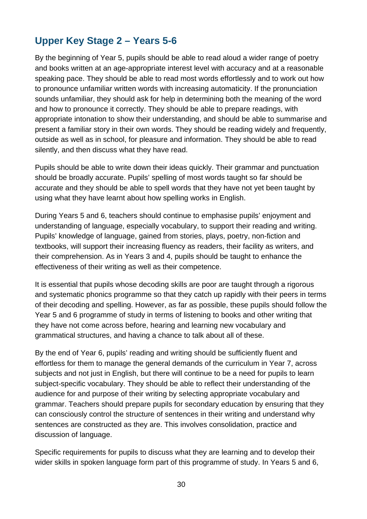## <span id="page-29-0"></span>**Upper Key Stage 2 – Years 5-6**

By the beginning of Year 5, pupils should be able to read aloud a wider range of poetry and books written at an age-appropriate interest level with accuracy and at a reasonable speaking pace. They should be able to read most words effortlessly and to work out how to pronounce unfamiliar written words with increasing automaticity. If the pronunciation sounds unfamiliar, they should ask for help in determining both the meaning of the word and how to pronounce it correctly. They should be able to prepare readings, with appropriate intonation to show their understanding, and should be able to summarise and present a familiar story in their own words. They should be reading widely and frequently, outside as well as in school, for pleasure and information. They should be able to read silently, and then discuss what they have read.

Pupils should be able to write down their ideas quickly. Their grammar and punctuation should be broadly accurate. Pupils' spelling of most words taught so far should be accurate and they should be able to spell words that they have not yet been taught by using what they have learnt about how spelling works in English.

During Years 5 and 6, teachers should continue to emphasise pupils' enjoyment and understanding of language, especially vocabulary, to support their reading and writing. Pupils' knowledge of language, gained from stories, plays, poetry, non-fiction and textbooks, will support their increasing fluency as readers, their facility as writers, and their comprehension. As in Years 3 and 4, pupils should be taught to enhance the effectiveness of their writing as well as their competence.

It is essential that pupils whose decoding skills are poor are taught through a rigorous and systematic phonics programme so that they catch up rapidly with their peers in terms of their decoding and spelling. However, as far as possible, these pupils should follow the Year 5 and 6 programme of study in terms of listening to books and other writing that they have not come across before, hearing and learning new vocabulary and grammatical structures, and having a chance to talk about all of these.

By the end of Year 6, pupils' reading and writing should be sufficiently fluent and effortless for them to manage the general demands of the curriculum in Year 7, across subjects and not just in English, but there will continue to be a need for pupils to learn subject-specific vocabulary. They should be able to reflect their understanding of the audience for and purpose of their writing by selecting appropriate vocabulary and grammar. Teachers should prepare pupils for secondary education by ensuring that they can consciously control the structure of sentences in their writing and understand why sentences are constructed as they are. This involves consolidation, practice and discussion of language.

Specific requirements for pupils to discuss what they are learning and to develop their wider skills in spoken language form part of this programme of study. In Years 5 and 6,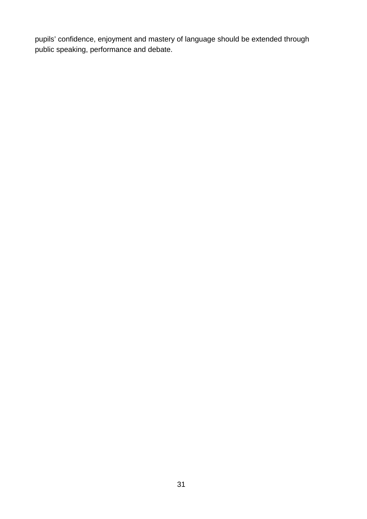pupils' confidence, enjoyment and mastery of language should be extended through public speaking, performance and debate.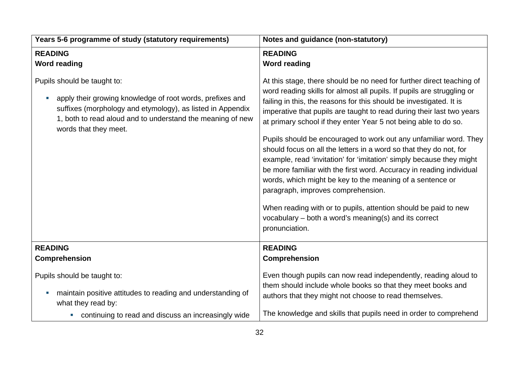| Years 5-6 programme of study (statutory requirements)                                                                                                                                                                                         | Notes and guidance (non-statutory)                                                                                                                                                                                                                                                                                                                                                                                                                                                                                                                                                                                                                                                                                                                                                                                                                                                                             |
|-----------------------------------------------------------------------------------------------------------------------------------------------------------------------------------------------------------------------------------------------|----------------------------------------------------------------------------------------------------------------------------------------------------------------------------------------------------------------------------------------------------------------------------------------------------------------------------------------------------------------------------------------------------------------------------------------------------------------------------------------------------------------------------------------------------------------------------------------------------------------------------------------------------------------------------------------------------------------------------------------------------------------------------------------------------------------------------------------------------------------------------------------------------------------|
| <b>READING</b><br><b>Word reading</b>                                                                                                                                                                                                         | <b>READING</b><br><b>Word reading</b>                                                                                                                                                                                                                                                                                                                                                                                                                                                                                                                                                                                                                                                                                                                                                                                                                                                                          |
| Pupils should be taught to:<br>apply their growing knowledge of root words, prefixes and<br>suffixes (morphology and etymology), as listed in Appendix<br>1, both to read aloud and to understand the meaning of new<br>words that they meet. | At this stage, there should be no need for further direct teaching of<br>word reading skills for almost all pupils. If pupils are struggling or<br>failing in this, the reasons for this should be investigated. It is<br>imperative that pupils are taught to read during their last two years<br>at primary school if they enter Year 5 not being able to do so.<br>Pupils should be encouraged to work out any unfamiliar word. They<br>should focus on all the letters in a word so that they do not, for<br>example, read 'invitation' for 'imitation' simply because they might<br>be more familiar with the first word. Accuracy in reading individual<br>words, which might be key to the meaning of a sentence or<br>paragraph, improves comprehension.<br>When reading with or to pupils, attention should be paid to new<br>vocabulary – both a word's meaning(s) and its correct<br>pronunciation. |
| <b>READING</b>                                                                                                                                                                                                                                | <b>READING</b>                                                                                                                                                                                                                                                                                                                                                                                                                                                                                                                                                                                                                                                                                                                                                                                                                                                                                                 |
| <b>Comprehension</b>                                                                                                                                                                                                                          | <b>Comprehension</b>                                                                                                                                                                                                                                                                                                                                                                                                                                                                                                                                                                                                                                                                                                                                                                                                                                                                                           |
| Pupils should be taught to:<br>maintain positive attitudes to reading and understanding of                                                                                                                                                    | Even though pupils can now read independently, reading aloud to<br>them should include whole books so that they meet books and<br>authors that they might not choose to read themselves.                                                                                                                                                                                                                                                                                                                                                                                                                                                                                                                                                                                                                                                                                                                       |
| what they read by:<br>• continuing to read and discuss an increasingly wide                                                                                                                                                                   | The knowledge and skills that pupils need in order to comprehend                                                                                                                                                                                                                                                                                                                                                                                                                                                                                                                                                                                                                                                                                                                                                                                                                                               |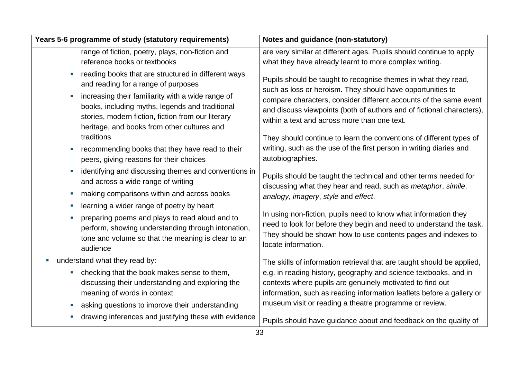| Years 5-6 programme of study (statutory requirements)                                                                                                                                                                                                                                                                 | Notes and guidance (non-statutory)                                                                                                                                                                                                                                                                                                                                                                |
|-----------------------------------------------------------------------------------------------------------------------------------------------------------------------------------------------------------------------------------------------------------------------------------------------------------------------|---------------------------------------------------------------------------------------------------------------------------------------------------------------------------------------------------------------------------------------------------------------------------------------------------------------------------------------------------------------------------------------------------|
| range of fiction, poetry, plays, non-fiction and<br>reference books or textbooks                                                                                                                                                                                                                                      | are very similar at different ages. Pupils should continue to apply<br>what they have already learnt to more complex writing.                                                                                                                                                                                                                                                                     |
| reading books that are structured in different ways<br>and reading for a range of purposes<br>increasing their familiarity with a wide range of<br>books, including myths, legends and traditional<br>stories, modern fiction, fiction from our literary<br>heritage, and books from other cultures and<br>traditions | Pupils should be taught to recognise themes in what they read,<br>such as loss or heroism. They should have opportunities to<br>compare characters, consider different accounts of the same event<br>and discuss viewpoints (both of authors and of fictional characters),<br>within a text and across more than one text.<br>They should continue to learn the conventions of different types of |
| recommending books that they have read to their<br>peers, giving reasons for their choices                                                                                                                                                                                                                            | writing, such as the use of the first person in writing diaries and<br>autobiographies.                                                                                                                                                                                                                                                                                                           |
| identifying and discussing themes and conventions in<br>and across a wide range of writing<br>making comparisons within and across books                                                                                                                                                                              | Pupils should be taught the technical and other terms needed for<br>discussing what they hear and read, such as metaphor, simile,<br>analogy, imagery, style and effect.                                                                                                                                                                                                                          |
| learning a wider range of poetry by heart<br>preparing poems and plays to read aloud and to<br>perform, showing understanding through intonation,<br>tone and volume so that the meaning is clear to an<br>audience                                                                                                   | In using non-fiction, pupils need to know what information they<br>need to look for before they begin and need to understand the task.<br>They should be shown how to use contents pages and indexes to<br>locate information.                                                                                                                                                                    |
| understand what they read by:                                                                                                                                                                                                                                                                                         | The skills of information retrieval that are taught should be applied,                                                                                                                                                                                                                                                                                                                            |
| checking that the book makes sense to them,<br>discussing their understanding and exploring the<br>meaning of words in context                                                                                                                                                                                        | e.g. in reading history, geography and science textbooks, and in<br>contexts where pupils are genuinely motivated to find out<br>information, such as reading information leaflets before a gallery or<br>museum visit or reading a theatre programme or review.                                                                                                                                  |
| asking questions to improve their understanding<br>drawing inferences and justifying these with evidence                                                                                                                                                                                                              | Pupils should have guidance about and feedback on the quality of                                                                                                                                                                                                                                                                                                                                  |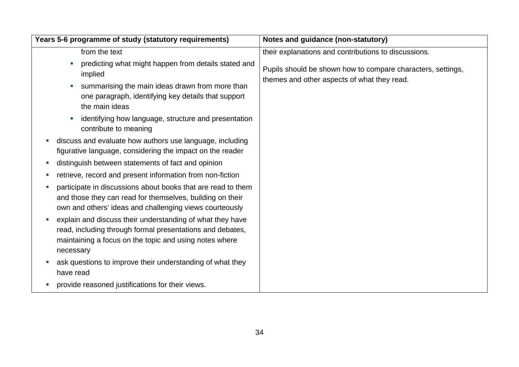| Years 5-6 programme of study (statutory requirements)                                                                                                                                               | Notes and guidance (non-statutory)                                                                         |
|-----------------------------------------------------------------------------------------------------------------------------------------------------------------------------------------------------|------------------------------------------------------------------------------------------------------------|
| from the text                                                                                                                                                                                       | their explanations and contributions to discussions.                                                       |
| predicting what might happen from details stated and<br>u.<br>implied<br>summarising the main ideas drawn from more than<br>one paragraph, identifying key details that support<br>the main ideas   | Pupils should be shown how to compare characters, settings,<br>themes and other aspects of what they read. |
| identifying how language, structure and presentation<br>contribute to meaning                                                                                                                       |                                                                                                            |
| discuss and evaluate how authors use language, including<br>figurative language, considering the impact on the reader                                                                               |                                                                                                            |
| distinguish between statements of fact and opinion<br>п                                                                                                                                             |                                                                                                            |
| retrieve, record and present information from non-fiction<br>ш                                                                                                                                      |                                                                                                            |
| participate in discussions about books that are read to them<br>and those they can read for themselves, building on their<br>own and others' ideas and challenging views courteously                |                                                                                                            |
| explain and discuss their understanding of what they have<br>×.<br>read, including through formal presentations and debates,<br>maintaining a focus on the topic and using notes where<br>necessary |                                                                                                            |
| ask questions to improve their understanding of what they<br>have read                                                                                                                              |                                                                                                            |
| provide reasoned justifications for their views.                                                                                                                                                    |                                                                                                            |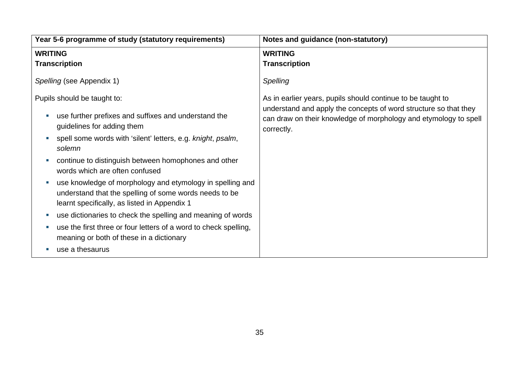| Year 5-6 programme of study (statutory requirements)                                                                                                                      | Notes and guidance (non-statutory)                                                                                                                 |
|---------------------------------------------------------------------------------------------------------------------------------------------------------------------------|----------------------------------------------------------------------------------------------------------------------------------------------------|
| <b>WRITING</b>                                                                                                                                                            | <b>WRITING</b>                                                                                                                                     |
| <b>Transcription</b>                                                                                                                                                      | <b>Transcription</b>                                                                                                                               |
| Spelling (see Appendix 1)                                                                                                                                                 | <b>Spelling</b>                                                                                                                                    |
| Pupils should be taught to:                                                                                                                                               | As in earlier years, pupils should continue to be taught to                                                                                        |
| use further prefixes and suffixes and understand the<br>guidelines for adding them                                                                                        | understand and apply the concepts of word structure so that they<br>can draw on their knowledge of morphology and etymology to spell<br>correctly. |
| spell some words with 'silent' letters, e.g. knight, psalm,<br>solemn                                                                                                     |                                                                                                                                                    |
| continue to distinguish between homophones and other<br>words which are often confused                                                                                    |                                                                                                                                                    |
| use knowledge of morphology and etymology in spelling and<br>u.<br>understand that the spelling of some words needs to be<br>learnt specifically, as listed in Appendix 1 |                                                                                                                                                    |
| use dictionaries to check the spelling and meaning of words<br>L.                                                                                                         |                                                                                                                                                    |
| use the first three or four letters of a word to check spelling,<br>meaning or both of these in a dictionary                                                              |                                                                                                                                                    |
| use a thesaurus                                                                                                                                                           |                                                                                                                                                    |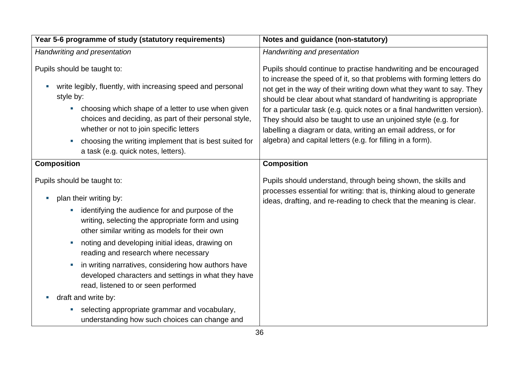| Year 5-6 programme of study (statutory requirements)                                                                                                                                                                                                                                                                               | Notes and guidance (non-statutory)                                                                                                                                                                                                                                                                                                                                                                                                                                                                                                                                 |
|------------------------------------------------------------------------------------------------------------------------------------------------------------------------------------------------------------------------------------------------------------------------------------------------------------------------------------|--------------------------------------------------------------------------------------------------------------------------------------------------------------------------------------------------------------------------------------------------------------------------------------------------------------------------------------------------------------------------------------------------------------------------------------------------------------------------------------------------------------------------------------------------------------------|
| Handwriting and presentation                                                                                                                                                                                                                                                                                                       | Handwriting and presentation                                                                                                                                                                                                                                                                                                                                                                                                                                                                                                                                       |
| Pupils should be taught to:<br>write legibly, fluently, with increasing speed and personal<br>style by:<br>choosing which shape of a letter to use when given<br>choices and deciding, as part of their personal style,<br>whether or not to join specific letters<br>choosing the writing implement that is best suited for<br>×. | Pupils should continue to practise handwriting and be encouraged<br>to increase the speed of it, so that problems with forming letters do<br>not get in the way of their writing down what they want to say. They<br>should be clear about what standard of handwriting is appropriate<br>for a particular task (e.g. quick notes or a final handwritten version).<br>They should also be taught to use an unjoined style (e.g. for<br>labelling a diagram or data, writing an email address, or for<br>algebra) and capital letters (e.g. for filling in a form). |
| a task (e.g. quick notes, letters).                                                                                                                                                                                                                                                                                                |                                                                                                                                                                                                                                                                                                                                                                                                                                                                                                                                                                    |
| <b>Composition</b>                                                                                                                                                                                                                                                                                                                 | <b>Composition</b>                                                                                                                                                                                                                                                                                                                                                                                                                                                                                                                                                 |
| Pupils should be taught to:                                                                                                                                                                                                                                                                                                        | Pupils should understand, through being shown, the skills and<br>processes essential for writing: that is, thinking aloud to generate                                                                                                                                                                                                                                                                                                                                                                                                                              |
| plan their writing by:                                                                                                                                                                                                                                                                                                             | ideas, drafting, and re-reading to check that the meaning is clear.                                                                                                                                                                                                                                                                                                                                                                                                                                                                                                |
| identifying the audience for and purpose of the<br>writing, selecting the appropriate form and using<br>other similar writing as models for their own                                                                                                                                                                              |                                                                                                                                                                                                                                                                                                                                                                                                                                                                                                                                                                    |
| noting and developing initial ideas, drawing on<br>H.<br>reading and research where necessary                                                                                                                                                                                                                                      |                                                                                                                                                                                                                                                                                                                                                                                                                                                                                                                                                                    |
| in writing narratives, considering how authors have<br>L.<br>developed characters and settings in what they have<br>read, listened to or seen performed                                                                                                                                                                            |                                                                                                                                                                                                                                                                                                                                                                                                                                                                                                                                                                    |
| draft and write by:                                                                                                                                                                                                                                                                                                                |                                                                                                                                                                                                                                                                                                                                                                                                                                                                                                                                                                    |
| selecting appropriate grammar and vocabulary,<br>understanding how such choices can change and                                                                                                                                                                                                                                     |                                                                                                                                                                                                                                                                                                                                                                                                                                                                                                                                                                    |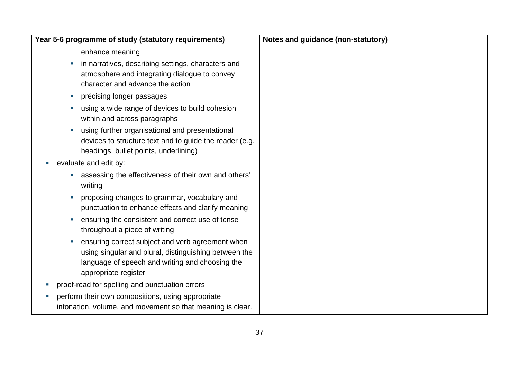| Year 5-6 programme of study (statutory requirements)                                                                                                                                 | Notes and guidance (non-statutory) |
|--------------------------------------------------------------------------------------------------------------------------------------------------------------------------------------|------------------------------------|
| enhance meaning                                                                                                                                                                      |                                    |
| in narratives, describing settings, characters and<br>atmosphere and integrating dialogue to convey<br>character and advance the action                                              |                                    |
| précising longer passages<br><b>College</b>                                                                                                                                          |                                    |
| using a wide range of devices to build cohesion<br>within and across paragraphs                                                                                                      |                                    |
| using further organisational and presentational<br><b>College</b><br>devices to structure text and to guide the reader (e.g.<br>headings, bullet points, underlining)                |                                    |
| evaluate and edit by:                                                                                                                                                                |                                    |
| assessing the effectiveness of their own and others'<br>writing                                                                                                                      |                                    |
| proposing changes to grammar, vocabulary and<br><b>COL</b><br>punctuation to enhance effects and clarify meaning                                                                     |                                    |
| ensuring the consistent and correct use of tense<br>throughout a piece of writing                                                                                                    |                                    |
| ensuring correct subject and verb agreement when<br>using singular and plural, distinguishing between the<br>language of speech and writing and choosing the<br>appropriate register |                                    |
| proof-read for spelling and punctuation errors                                                                                                                                       |                                    |
| perform their own compositions, using appropriate<br>intonation, volume, and movement so that meaning is clear.                                                                      |                                    |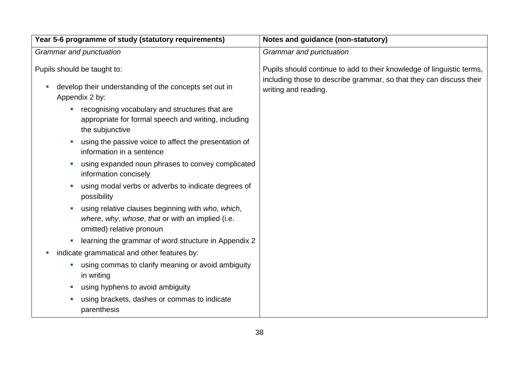| Year 5-6 programme of study (statutory requirements)                                                                                    | Notes and guidance (non-statutory)                                                                                                                                   |
|-----------------------------------------------------------------------------------------------------------------------------------------|----------------------------------------------------------------------------------------------------------------------------------------------------------------------|
| Grammar and punctuation                                                                                                                 | Grammar and punctuation                                                                                                                                              |
| Pupils should be taught to:<br>develop their understanding of the concepts set out in<br>Appendix 2 by:                                 | Pupils should continue to add to their knowledge of linguistic terms,<br>including those to describe grammar, so that they can discuss their<br>writing and reading. |
| recognising vocabulary and structures that are<br>×.<br>appropriate for formal speech and writing, including<br>the subjunctive         |                                                                                                                                                                      |
| using the passive voice to affect the presentation of<br>ш<br>information in a sentence                                                 |                                                                                                                                                                      |
| using expanded noun phrases to convey complicated<br>ш<br>information concisely                                                         |                                                                                                                                                                      |
| using modal verbs or adverbs to indicate degrees of<br>possibility                                                                      |                                                                                                                                                                      |
| using relative clauses beginning with who, which,<br>×<br>where, why, whose, that or with an implied (i.e.<br>omitted) relative pronoun |                                                                                                                                                                      |
| learning the grammar of word structure in Appendix 2                                                                                    |                                                                                                                                                                      |
| indicate grammatical and other features by:                                                                                             |                                                                                                                                                                      |
| using commas to clarify meaning or avoid ambiguity<br>in writing                                                                        |                                                                                                                                                                      |
| using hyphens to avoid ambiguity<br>T.                                                                                                  |                                                                                                                                                                      |
| using brackets, dashes or commas to indicate<br>parenthesis                                                                             |                                                                                                                                                                      |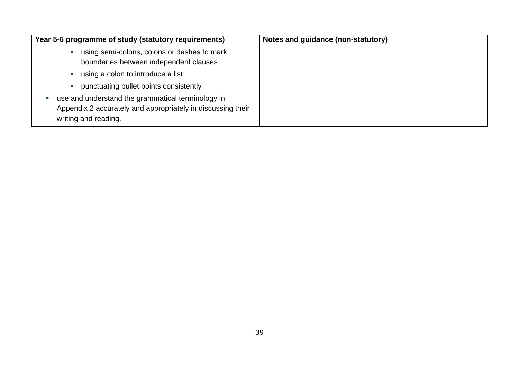| Year 5-6 programme of study (statutory requirements)                                                                                     | Notes and guidance (non-statutory) |
|------------------------------------------------------------------------------------------------------------------------------------------|------------------------------------|
| using semi-colons, colons or dashes to mark<br>boundaries between independent clauses                                                    |                                    |
| using a colon to introduce a list                                                                                                        |                                    |
| punctuating bullet points consistently                                                                                                   |                                    |
| use and understand the grammatical terminology in<br>Appendix 2 accurately and appropriately in discussing their<br>writing and reading. |                                    |